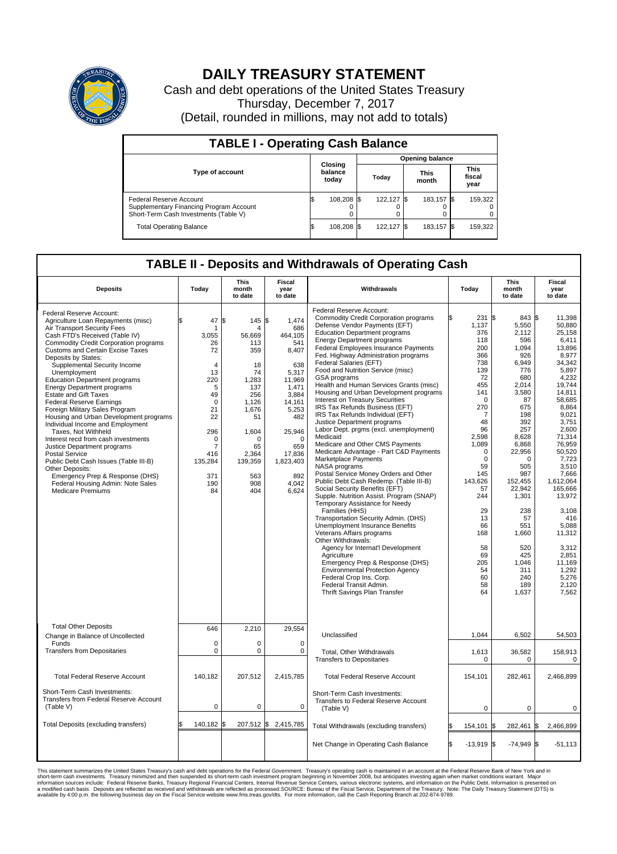

## **DAILY TREASURY STATEMENT**

Cash and debt operations of the United States Treasury Thursday, December 7, 2017 (Detail, rounded in millions, may not add to totals)

| <b>TABLE I - Operating Cash Balance</b>                                                                     |    |                             |  |                        |  |                      |  |                               |  |  |  |
|-------------------------------------------------------------------------------------------------------------|----|-----------------------------|--|------------------------|--|----------------------|--|-------------------------------|--|--|--|
|                                                                                                             |    | Closing<br>balance<br>today |  | <b>Opening balance</b> |  |                      |  |                               |  |  |  |
| <b>Type of account</b>                                                                                      |    |                             |  | Today                  |  | <b>This</b><br>month |  | <b>This</b><br>fiscal<br>year |  |  |  |
| Federal Reserve Account<br>Supplementary Financing Program Account<br>Short-Term Cash Investments (Table V) |    | 108,208 \$                  |  | 122.127 \$             |  | 183.157 \$           |  | 159,322                       |  |  |  |
| <b>Total Operating Balance</b>                                                                              | ıъ | 108,208 \$                  |  | 122.127 \$             |  | 183,157 \$           |  | 159,322                       |  |  |  |

## **TABLE II - Deposits and Withdrawals of Operating Cash**

| <b>Deposits</b>                                                                                                                                                                                                                                                                                                                                                                                                                                                                                                                                                                                                                                                                                                                                                                                                                                         | Today                                                                                                                                                                                  | <b>This</b><br>month<br>to date                                                                                                                            | <b>Fiscal</b><br>year<br>to date                                                                                                                                                           | Withdrawals                                                                                                                                                                                                                                                                                                                                                                                                                                                                                                                                                                                                                                                                                                                                                                                                                                                                                                                                                                                                                                                                                                                                                                                                                                                                                                                                    |    | This<br>Today<br>month<br>to date                                                                                                                                                                                                                                          |                                                                                                                                                                                                                                                                                                  |     | Fiscal<br>year<br>to date                                                                                                                                                                                                                                                                                                                          |
|---------------------------------------------------------------------------------------------------------------------------------------------------------------------------------------------------------------------------------------------------------------------------------------------------------------------------------------------------------------------------------------------------------------------------------------------------------------------------------------------------------------------------------------------------------------------------------------------------------------------------------------------------------------------------------------------------------------------------------------------------------------------------------------------------------------------------------------------------------|----------------------------------------------------------------------------------------------------------------------------------------------------------------------------------------|------------------------------------------------------------------------------------------------------------------------------------------------------------|--------------------------------------------------------------------------------------------------------------------------------------------------------------------------------------------|------------------------------------------------------------------------------------------------------------------------------------------------------------------------------------------------------------------------------------------------------------------------------------------------------------------------------------------------------------------------------------------------------------------------------------------------------------------------------------------------------------------------------------------------------------------------------------------------------------------------------------------------------------------------------------------------------------------------------------------------------------------------------------------------------------------------------------------------------------------------------------------------------------------------------------------------------------------------------------------------------------------------------------------------------------------------------------------------------------------------------------------------------------------------------------------------------------------------------------------------------------------------------------------------------------------------------------------------|----|----------------------------------------------------------------------------------------------------------------------------------------------------------------------------------------------------------------------------------------------------------------------------|--------------------------------------------------------------------------------------------------------------------------------------------------------------------------------------------------------------------------------------------------------------------------------------------------|-----|----------------------------------------------------------------------------------------------------------------------------------------------------------------------------------------------------------------------------------------------------------------------------------------------------------------------------------------------------|
| Federal Reserve Account:<br>Agriculture Loan Repayments (misc)<br>Air Transport Security Fees<br>Cash FTD's Received (Table IV)<br><b>Commodity Credit Corporation programs</b><br><b>Customs and Certain Excise Taxes</b><br>Deposits by States:<br>Supplemental Security Income<br>Unemployment<br><b>Education Department programs</b><br><b>Energy Department programs</b><br><b>Estate and Gift Taxes</b><br><b>Federal Reserve Earnings</b><br>Foreign Military Sales Program<br>Housing and Urban Development programs<br>Individual Income and Employment<br>Taxes, Not Withheld<br>Interest recd from cash investments<br>Justice Department programs<br><b>Postal Service</b><br>Public Debt Cash Issues (Table III-B)<br>Other Deposits:<br>Emergency Prep & Response (DHS)<br>Federal Housing Admin: Note Sales<br><b>Medicare Premiums</b> | 47<br>\$<br>-1<br>3,055<br>26<br>72<br>$\overline{4}$<br>13<br>220<br>5<br>49<br>$\mathbf 0$<br>21<br>22<br>296<br>$\mathbf 0$<br>$\overline{7}$<br>416<br>135,284<br>371<br>190<br>84 | ß.<br>145S<br>Δ<br>56,669<br>113<br>359<br>18<br>74<br>1,283<br>137<br>256<br>1,126<br>1,676<br>51<br>1,604<br>65<br>2.364<br>139,359<br>563<br>908<br>404 | 1.474<br>686<br>464,105<br>541<br>8,407<br>638<br>5,317<br>11,969<br>1.471<br>3,884<br>14,161<br>5,253<br>482<br>25,946<br>$\Omega$<br>659<br>17,836<br>1,823,403<br>892<br>4,042<br>6,624 | Federal Reserve Account:<br><b>Commodity Credit Corporation programs</b><br>Defense Vendor Payments (EFT)<br><b>Education Department programs</b><br><b>Energy Department programs</b><br><b>Federal Employees Insurance Payments</b><br>Fed. Highway Administration programs<br>Federal Salaries (EFT)<br>Food and Nutrition Service (misc)<br>GSA programs<br>Health and Human Services Grants (misc)<br>Housing and Urban Development programs<br>Interest on Treasury Securities<br>IRS Tax Refunds Business (EFT)<br>IRS Tax Refunds Individual (EFT)<br>Justice Department programs<br>Labor Dept. prgms (excl. unemployment)<br>Medicaid<br>Medicare and Other CMS Payments<br>Medicare Advantage - Part C&D Payments<br>Marketplace Payments<br>NASA programs<br>Postal Service Money Orders and Other<br>Public Debt Cash Redemp. (Table III-B)<br>Social Security Benefits (EFT)<br>Supple. Nutrition Assist. Program (SNAP)<br>Temporary Assistance for Needy<br>Families (HHS)<br>Transportation Security Admin. (DHS)<br>Unemployment Insurance Benefits<br>Veterans Affairs programs<br>Other Withdrawals:<br>Agency for Internat'l Development<br>Agriculture<br>Emergency Prep & Response (DHS)<br><b>Environmental Protection Agency</b><br>Federal Crop Ins. Corp.<br>Federal Transit Admin.<br>Thrift Savings Plan Transfer |    | 231 \$<br>1,137<br>376<br>118<br>200<br>366<br>738<br>139<br>72<br>455<br>141<br>$\Omega$<br>270<br>7<br>48<br>96<br>2.598<br>1,089<br>$\mathbf 0$<br>$\mathbf 0$<br>59<br>145<br>143,626<br>57<br>244<br>29<br>13<br>66<br>168<br>58<br>69<br>205<br>54<br>60<br>58<br>64 | 843 \$<br>5,550<br>2,112<br>596<br>1,094<br>926<br>6,949<br>776<br>680<br>2,014<br>3,580<br>87<br>675<br>198<br>392<br>257<br>8,628<br>6,868<br>22,956<br>$\Omega$<br>505<br>987<br>152,455<br>22,942<br>1,301<br>238<br>57<br>551<br>1,660<br>520<br>425<br>1,046<br>311<br>240<br>189<br>1,637 |     | 11,398<br>50,880<br>25,158<br>6,411<br>13,896<br>8,977<br>34.342<br>5,897<br>4,232<br>19,744<br>14,811<br>58,685<br>8,864<br>9,021<br>3,751<br>2,600<br>71.314<br>76,959<br>50,520<br>7,723<br>3.510<br>7,666<br>1,612,064<br>165,666<br>13,972<br>3,108<br>416<br>5,088<br>11,312<br>3.312<br>2,851<br>11,169<br>1,292<br>5,276<br>2,120<br>7,562 |
| <b>Total Other Deposits</b><br>Change in Balance of Uncollected                                                                                                                                                                                                                                                                                                                                                                                                                                                                                                                                                                                                                                                                                                                                                                                         | 646                                                                                                                                                                                    | 2,210                                                                                                                                                      | 29,554                                                                                                                                                                                     | Unclassified                                                                                                                                                                                                                                                                                                                                                                                                                                                                                                                                                                                                                                                                                                                                                                                                                                                                                                                                                                                                                                                                                                                                                                                                                                                                                                                                   |    | 1,044                                                                                                                                                                                                                                                                      | 6,502                                                                                                                                                                                                                                                                                            |     | 54,503                                                                                                                                                                                                                                                                                                                                             |
| Funds<br><b>Transfers from Depositaries</b>                                                                                                                                                                                                                                                                                                                                                                                                                                                                                                                                                                                                                                                                                                                                                                                                             | $\mathbf 0$<br>$\pmb{0}$                                                                                                                                                               | 0<br>0                                                                                                                                                     | 0<br>$\mathbf 0$                                                                                                                                                                           | <b>Total, Other Withdrawals</b><br><b>Transfers to Depositaries</b>                                                                                                                                                                                                                                                                                                                                                                                                                                                                                                                                                                                                                                                                                                                                                                                                                                                                                                                                                                                                                                                                                                                                                                                                                                                                            |    | 1,613<br>$\mathbf 0$                                                                                                                                                                                                                                                       | 36,582<br>0                                                                                                                                                                                                                                                                                      |     | 158,913<br>0                                                                                                                                                                                                                                                                                                                                       |
| <b>Total Federal Reserve Account</b>                                                                                                                                                                                                                                                                                                                                                                                                                                                                                                                                                                                                                                                                                                                                                                                                                    | 140,182                                                                                                                                                                                | 207,512                                                                                                                                                    | 2,415,785                                                                                                                                                                                  | <b>Total Federal Reserve Account</b>                                                                                                                                                                                                                                                                                                                                                                                                                                                                                                                                                                                                                                                                                                                                                                                                                                                                                                                                                                                                                                                                                                                                                                                                                                                                                                           |    | 154,101                                                                                                                                                                                                                                                                    | 282,461                                                                                                                                                                                                                                                                                          |     | 2,466,899                                                                                                                                                                                                                                                                                                                                          |
| Short-Term Cash Investments:<br>Transfers from Federal Reserve Account<br>(Table V)                                                                                                                                                                                                                                                                                                                                                                                                                                                                                                                                                                                                                                                                                                                                                                     | $\mathbf 0$                                                                                                                                                                            | 0                                                                                                                                                          | 0                                                                                                                                                                                          | Short-Term Cash Investments:<br>Transfers to Federal Reserve Account<br>(Table V)                                                                                                                                                                                                                                                                                                                                                                                                                                                                                                                                                                                                                                                                                                                                                                                                                                                                                                                                                                                                                                                                                                                                                                                                                                                              |    | 0                                                                                                                                                                                                                                                                          | 0                                                                                                                                                                                                                                                                                                |     | 0                                                                                                                                                                                                                                                                                                                                                  |
| Total Deposits (excluding transfers)                                                                                                                                                                                                                                                                                                                                                                                                                                                                                                                                                                                                                                                                                                                                                                                                                    | 140,182<br>\$                                                                                                                                                                          | ß.                                                                                                                                                         | 207,512 \$2,415,785                                                                                                                                                                        | Total Withdrawals (excluding transfers)                                                                                                                                                                                                                                                                                                                                                                                                                                                                                                                                                                                                                                                                                                                                                                                                                                                                                                                                                                                                                                                                                                                                                                                                                                                                                                        | ß. | 154,101                                                                                                                                                                                                                                                                    | 282,461<br>1\$                                                                                                                                                                                                                                                                                   | l\$ | 2,466,899                                                                                                                                                                                                                                                                                                                                          |
|                                                                                                                                                                                                                                                                                                                                                                                                                                                                                                                                                                                                                                                                                                                                                                                                                                                         |                                                                                                                                                                                        |                                                                                                                                                            |                                                                                                                                                                                            | Net Change in Operating Cash Balance                                                                                                                                                                                                                                                                                                                                                                                                                                                                                                                                                                                                                                                                                                                                                                                                                                                                                                                                                                                                                                                                                                                                                                                                                                                                                                           | Ŝ. | $-13,919$ \$                                                                                                                                                                                                                                                               | $-74,949$ \$                                                                                                                                                                                                                                                                                     |     | $-51,113$                                                                                                                                                                                                                                                                                                                                          |

This statement summarizes the United States Treasury's cash and debt operations for the Federal Government. Treasury soperating in November 2008, but anticiarded in a cocount at the Federal Reserve Bank of New York and in<br>